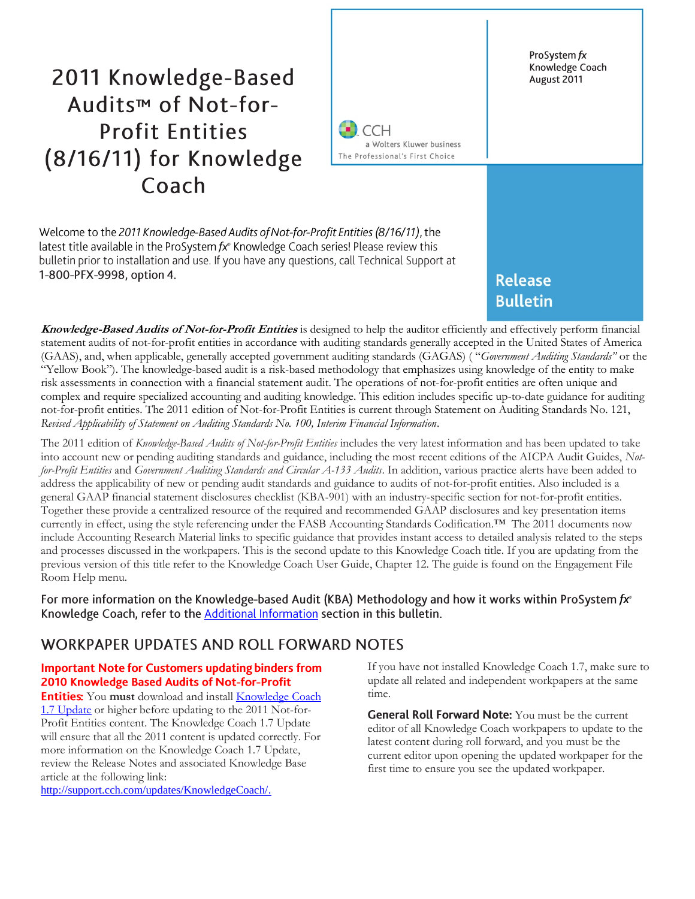# 2011 Knowledge-Based Audits<sup>™</sup> of Not-for-**Profit Entities** (8/16/11) for Knowledge Coach



Welcome to the 2011 Knowledge-Based Audits of Not-for-Profit Entities (8/16/11), the latest title available in the ProSystem  $fx^*$  Knowledge Coach series! Please review this bulletin prior to installation and use. If you have any questions, call Technical Support at 1-800-PFX-9998, option 4.

**Release Bulletin** 

ProSystem fx Knowledge Coach

August 2011

**Knowledge-Based Audits of Not-for-Profit Entities** is designed to help the auditor efficiently and effectively perform financial statement audits of not-for-profit entities in accordance with auditing standards generally accepted in the United States of America (GAAS), and, when applicable, generally accepted government auditing standards (GAGAS) ( "*Government Auditing Standards"* or the "Yellow Book"). The knowledge-based audit is a risk-based methodology that emphasizes using knowledge of the entity to make risk assessments in connection with a financial statement audit. The operations of not-for-profit entities are often unique and complex and require specialized accounting and auditing knowledge. This edition includes specific up-to-date guidance for auditing not-for-profit entities. The 2011 edition of Not-for-Profit Entities is current through Statement on Auditing Standards No. 121, *Revised Applicability of Statement on Auditing Standards No. 100, Interim Financial Information*.

The 2011 edition of *Knowledge-Based Audits of Not-for-Profit Entities* includes the very latest information and has been updated to take into account new or pending auditing standards and guidance, including the most recent editions of the AICPA Audit Guides, *Notfor-Profit Entities* and *Government Auditing Standards and Circular A-133 Audits*. In addition, various practice alerts have been added to address the applicability of new or pending audit standards and guidance to audits of not-for-profit entities. Also included is a general GAAP financial statement disclosures checklist (KBA-901) with an industry-specific section for not-for-profit entities. Together these provide a centralized resource of the required and recommended GAAP disclosures and key presentation items currently in effect, using the style referencing under the FASB Accounting Standards Codification.™ The 2011 documents now include Accounting Research Material links to specific guidance that provides instant access to detailed analysis related to the steps and processes discussed in the workpapers. This is the second update to this Knowledge Coach title. If you are updating from the previous version of this title refer to the Knowledge Coach User Guide, Chapter 12. The guide is found on the Engagement File Room Help menu.

For more information on the Knowledge-based Audit (KBA) Methodology and how it works within ProSystem  $fx^{\circ}$ Knowledge Coach, refer to the Additional Information section in this bulletin.

## WORKPAPER UPDATES AND ROLL FORWARD NOTES

#### **Important Note for Customers updating binders from** 2010 Knowledge Based Audits of Not-for-Profit

**Entities:** You must download and install Knowledge Coach 1.7 [Update](https://prosystemfxsupport.tax.cchgroup.com/service/support/engagement/program-updates/downloads/knowledge-coach/PfxEng65KC17Updt.exe) or higher before updating to the 2011 Not-for-Profit Entities content. The Knowledge Coach 1.7 Update will ensure that all the 2011 content is updated correctly. For more information on the Knowledge Coach 1.7 Update, review the Release Notes and associated Knowledge Base article at the following link:

[http://support.cch.com/updates/KnowledgeCoach/.](http://support.cch.com/updates/KnowledgeCoach/)

If you have not installed Knowledge Coach 1.7, make sure to update all related and independent workpapers at the same time.

General Roll Forward Note: You must be the current editor of all Knowledge Coach workpapers to update to the latest content during roll forward, and you must be the current editor upon opening the updated workpaper for the first time to ensure you see the updated workpaper.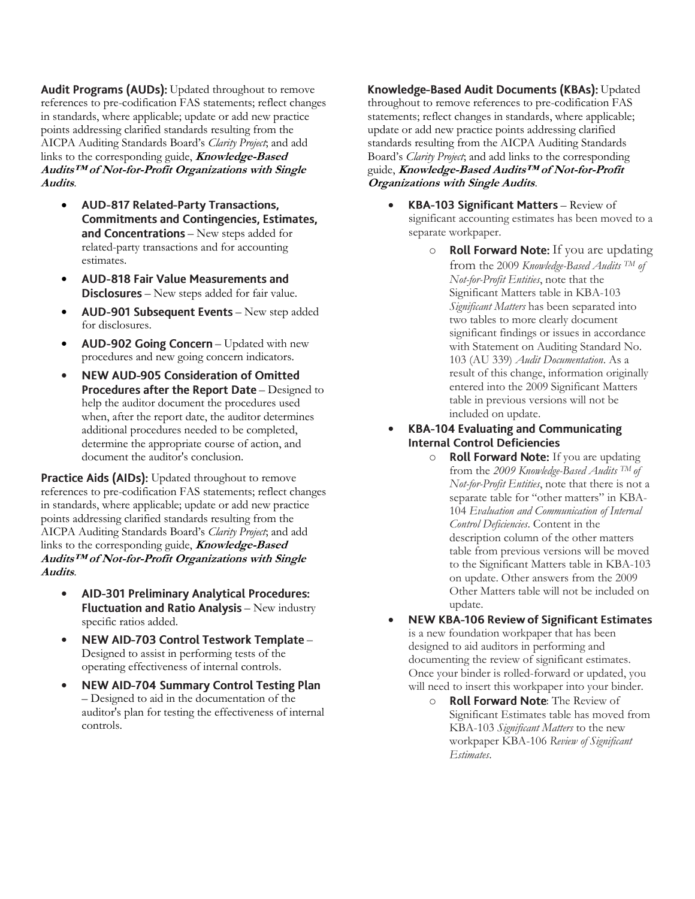**Audit Programs (AUDs):** Updated throughout to remove references to pre-codification FAS statements; reflect changes in standards, where applicable; update or add new practice points addressing clarified standards resulting from the AICPA Auditing Standards Board's *Clarity Project*; and add links to the corresponding guide, **Knowledge-Based Audits™ of Not-for-Profit Organizations with Single Audits**.

- $\bullet$ **AUD-817 Related-Party Transactions, Commitments and Contingencies, Estimates,** and Concentrations - New steps added for related-party transactions and for accounting estimates.
- $\bullet$ **AUD-818 Fair Value Measurements and** Disclosures - New steps added for fair value.
- AUD-901 Subsequent Events New step added for disclosures.
- AUD-902 Going Concern Updated with new procedures and new going concern indicators.
- **NEW AUD-905 Consideration of Omitted**  $\bullet$ Procedures after the Report Date - Designed to help the auditor document the procedures used when, after the report date, the auditor determines additional procedures needed to be completed, determine the appropriate course of action, and document the auditor's conclusion.

Practice Aids (AIDs): Updated throughout to remove references to pre-codification FAS statements; reflect changes in standards, where applicable; update or add new practice points addressing clarified standards resulting from the AICPA Auditing Standards Board's *Clarity Project*; and add links to the corresponding guide, **Knowledge-Based Audits™ of Not-for-Profit Organizations with Single Audits**.

- $\bullet$ AID-301 Preliminary Analytical Procedures: **Fluctuation and Ratio Analysis** - New industry specific ratios added.
- NEW AID-703 Control Testwork Template -Designed to assist in performing tests of the operating effectiveness of internal controls.
- **NEW AID-704 Summary Control Testing Plan**  $\bullet$ – Designed to aid in the documentation of the auditor's plan for testing the effectiveness of internal controls.

Knowledge-Based Audit Documents (KBAs): Updated throughout to remove references to pre-codification FAS statements; reflect changes in standards, where applicable; update or add new practice points addressing clarified standards resulting from the AICPA Auditing Standards Board's *Clarity Project*; and add links to the corresponding guide, **Knowledge-Based Audits™ of Not-for-Profit Organizations with Single Audits**.

- KBA-103 Significant Matters Review of significant accounting estimates has been moved to a separate workpaper.
	- $\circ$  **Roll Forward Note:** If you are updating from the 2009 *Knowledge-Based Audits TM of Not-for-Profit Entities*, note that the Significant Matters table in KBA-103 *Significant Matters* has been separated into two tables to more clearly document significant findings or issues in accordance with Statement on Auditing Standard No. 103 (AU 339) *Audit Documentation*. As a result of this change, information originally entered into the 2009 Significant Matters table in previous versions will not be included on update.
- $\bullet$ **KBA-104 Evaluating and Communicating Internal Control Deficiencies** 
	- $\circ$  **Roll Forward Note:** If you are updating from the *2009 Knowledge-Based Audits TM of Not-for-Profit Entities*, note that there is not a separate table for "other matters" in KBA-104 *Evaluation and Communication of Internal Control Deficiencies*. Content in the description column of the other matters table from previous versions will be moved to the Significant Matters table in KBA-103 on update. Other answers from the 2009 Other Matters table will not be included on update.
- $\bullet$ **NEW KBA-106 Review of Significant Estimates** is a new foundation workpaper that has been designed to aid auditors in performing and documenting the review of significant estimates. Once your binder is rolled-forward or updated, you will need to insert this workpaper into your binder.
	- o **Roll Forward Note:** The Review of Significant Estimates table has moved from KBA-103 *Significant Matters* to the new workpaper KBA-106 *Review of Significant Estimates*.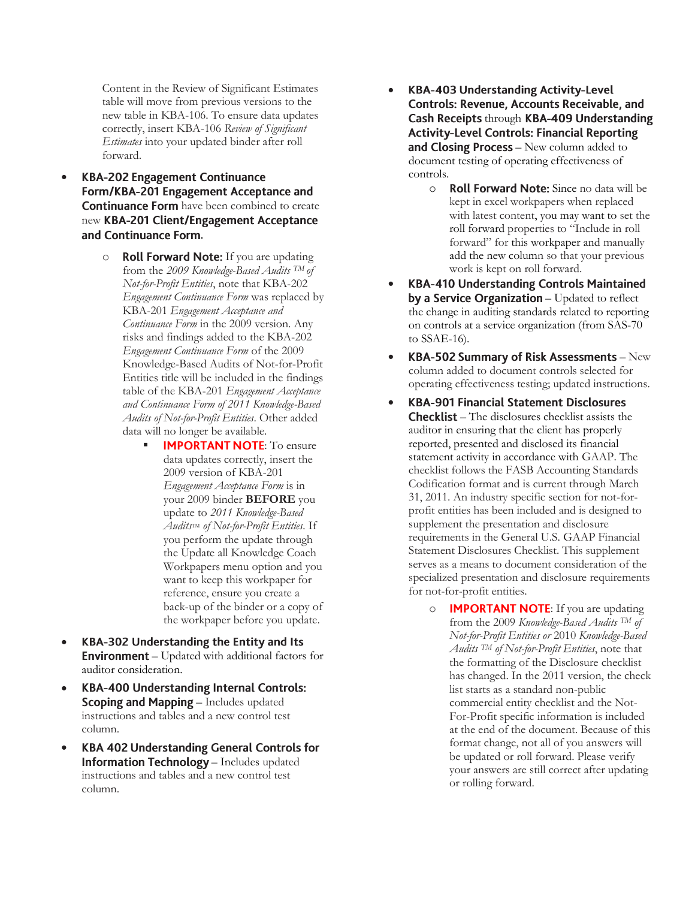Content in the Review of Significant Estimates table will move from previous versions to the new table in KBA-106. To ensure data updates correctly, insert KBA-106 *Review of Significant Estimates* into your updated binder after roll forward.

- $\bullet$ **KBA-202 Engagement Continuance** Form/KBA-201 Engagement Acceptance and Continuance Form have been combined to create new KBA-201 Client/Engagement Acceptance and Continuance Form.
	- $\circ$  **Roll Forward Note:** If you are updating from the *2009 Knowledge-Based Audits TM of Not-for-Profit Entities*, note that KBA-202 *Engagement Continuance Form* was replaced by KBA-201 *Engagement Acceptance and Continuance Form* in the 2009 version*.* Any risks and findings added to the KBA-202 *Engagement Continuance Form* of the 2009 Knowledge-Based Audits of Not-for-Profit Entities title will be included in the findings table of the KBA-201 *Engagement Acceptance and Continuance Form of 2011 Knowledge-Based Audits of Not-for-Profit Entities*. Other added data will no longer be available.
		- **IMPORTANT NOTE:** To ensure data updates correctly, insert the 2009 version of KBA-201 *Engagement Acceptance Form* is in your 2009 binder **BEFORE** you update to *2011 Knowledge-Based Audits*TM *of Not-for-Profit Entities.* If you perform the update through the Update all Knowledge Coach Workpapers menu option and you want to keep this workpaper for reference, ensure you create a back-up of the binder or a copy of the workpaper before you update.
- $\bullet$ KBA-302 Understanding the Entity and Its **Environment** – Updated with additional factors for auditor consideration.
- $\bullet$ **KBA-400 Understanding Internal Controls: Scoping and Mapping** – Includes updated instructions and tables and a new control test column.
- $\bullet$ **KBA 402 Understanding General Controls for** Information Technology - Includes updated instructions and tables and a new control test column.
- $\bullet$ **KBA-403 Understanding Activity-Level Controls: Revenue, Accounts Receivable, and** Cash Receipts through KBA-409 Understanding **Activity-Level Controls: Financial Reporting** and Closing Process - New column added to document testing of operating effectiveness of controls.
	- o Roll Forward Note: Since no data will be kept in excel workpapers when replaced with latest content, you may want to set the roll forward properties to "Include in roll forward" for this workpaper and manually add the new column so that your previous work is kept on roll forward.
- $\bullet$ **KBA-410 Understanding Controls Maintained** by a Service Organization - Updated to reflect the change in auditing standards related to reporting on controls at a service organization (from SAS-70 to SSAE-16).
- KBA-502 Summary of Risk Assessments New column added to document controls selected for operating effectiveness testing; updated instructions.
- $\bullet$ **KBA-901 Financial Statement Disclosures Checklist** – The disclosures checklist assists the auditor in ensuring that the client has properly reported, presented and disclosed its financial statement activity in accordance with GAAP. The checklist follows the FASB Accounting Standards Codification format and is current through March 31, 2011. An industry specific section for not-forprofit entities has been included and is designed to supplement the presentation and disclosure requirements in the General U.S. GAAP Financial Statement Disclosures Checklist. This supplement serves as a means to document consideration of the specialized presentation and disclosure requirements for not-for-profit entities.
	- $\circ$  **IMPORTANT NOTE:** If you are updating from the 2009 *Knowledge-Based Audits TM of Not-for-Profit Entities or* 2010 *Knowledge-Based Audits TM of Not-for-Profit Entities*, note that the formatting of the Disclosure checklist has changed. In the 2011 version, the check list starts as a standard non-public commercial entity checklist and the Not-For-Profit specific information is included at the end of the document. Because of this format change, not all of you answers will be updated or roll forward. Please verify your answers are still correct after updating or rolling forward.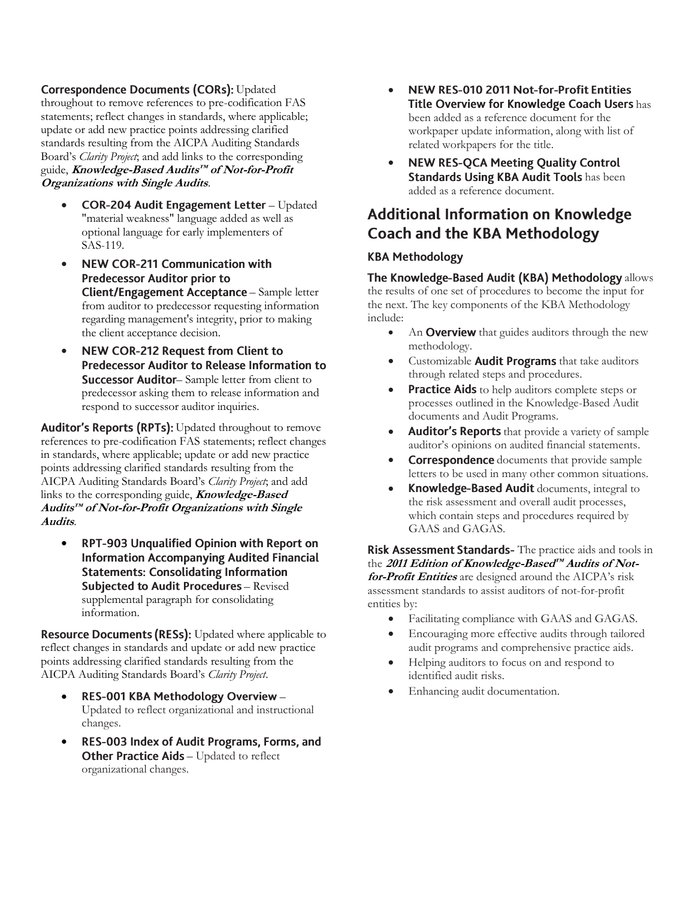#### **Correspondence Documents (CORs): Updated**

throughout to remove references to pre-codification FAS statements; reflect changes in standards, where applicable; update or add new practice points addressing clarified standards resulting from the AICPA Auditing Standards Board's *Clarity Project*; and add links to the corresponding guide, **Knowledge-Based Audits™ of Not-for-Profit Organizations with Single Audits**.

- COR-204 Audit Engagement Letter Updated "material weakness" language added as well as optional language for early implementers of SAS-119.
- **NEW COR-211 Communication with**  $\bullet$ **Predecessor Auditor prior to** Client/Engagement Acceptance - Sample letter from auditor to predecessor requesting information regarding management's integrity, prior to making the client acceptance decision.
- $\bullet$ **NEW COR-212 Request from Client to Predecessor Auditor to Release Information to** Successor Auditor-Sample letter from client to predecessor asking them to release information and respond to successor auditor inquiries.

Auditor's Reports (RPTs): Updated throughout to remove references to pre-codification FAS statements; reflect changes in standards, where applicable; update or add new practice points addressing clarified standards resulting from the AICPA Auditing Standards Board's *Clarity Project*; and add links to the corresponding guide, **Knowledge-Based Audits™ of Not-for-Profit Organizations with Single Audits**.

 $\bullet$ RPT-903 Unqualified Opinion with Report on **Information Accompanying Audited Financial Statements: Consolidating Information** Subjected to Audit Procedures - Revised supplemental paragraph for consolidating information.

**Resource Documents (RESs):** Updated where applicable to reflect changes in standards and update or add new practice points addressing clarified standards resulting from the AICPA Auditing Standards Board's *Clarity Project*.

- RES-001 KBA Methodology Overview -Updated to reflect organizational and instructional changes.
- $\bullet$ RES-003 Index of Audit Programs, Forms, and Other Practice Aids - Updated to reflect organizational changes.
- $\bullet$ NEW RES-010 2011 Not-for-Profit Entities Title Overview for Knowledge Coach Users has been added as a reference document for the workpaper update information, along with list of related workpapers for the title.
- $\bullet$ **NEW RES-QCA Meeting Quality Control** Standards Using KBA Audit Tools has been added as a reference document.

## **Additional Information on Knowledge Coach and the KBA Methodology**

#### **KBA Methodology**

The Knowledge-Based Audit (KBA) Methodology allows the results of one set of procedures to become the input for the next. The key components of the KBA Methodology include:

- An **Overview** that guides auditors through the new methodology.
- Customizable **Audit Programs** that take auditors through related steps and procedures.
- **Practice Aids** to help auditors complete steps or processes outlined in the Knowledge-Based Audit documents and Audit Programs.
- Auditor's Reports that provide a variety of sample auditor's opinions on audited financial statements.
- **Correspondence** documents that provide sample letters to be used in many other common situations.
- Knowledge-Based Audit documents, integral to the risk assessment and overall audit processes, which contain steps and procedures required by GAAS and GAGAS.

Risk Assessment Standards- The practice aids and tools in the **2011 Edition of Knowledge-Based™ Audits of Notfor-Profit Entities** are designed around the AICPA's risk assessment standards to assist auditors of not-for-profit entities by:

- Facilitating compliance with GAAS and GAGAS.
- Encouraging more effective audits through tailored audit programs and comprehensive practice aids.
- Helping auditors to focus on and respond to identified audit risks.
- Enhancing audit documentation.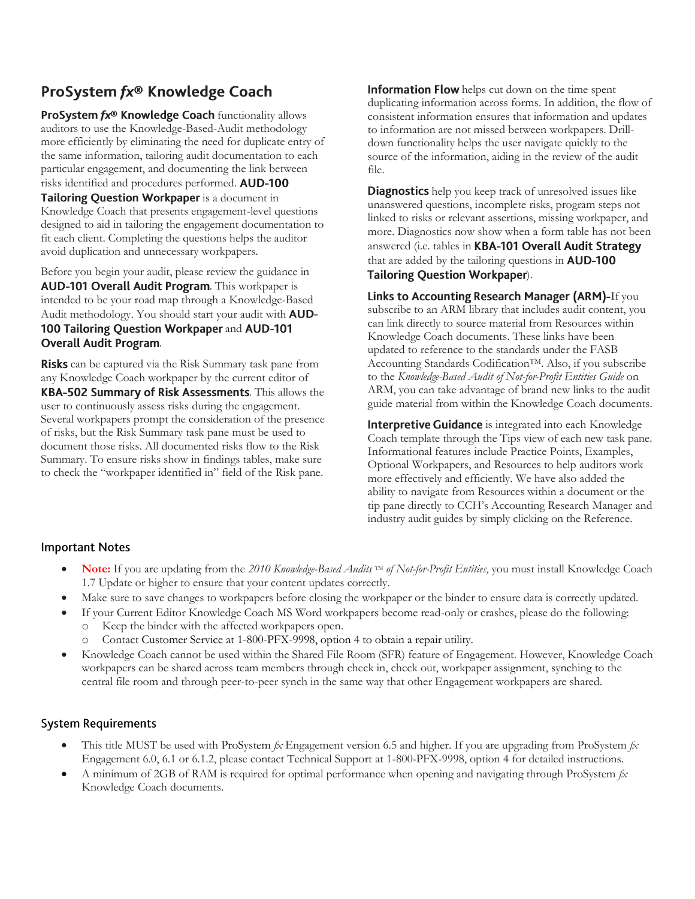## ProSystem fx® Knowledge Coach

ProSystem fx® Knowledge Coach functionality allows auditors to use the Knowledge-Based-Audit methodology more efficiently by eliminating the need for duplicate entry of the same information, tailoring audit documentation to each particular engagement, and documenting the link between risks identified and procedures performed. AUD-100 Tailoring Question Workpaper is a document in Knowledge Coach that presents engagement-level questions designed to aid in tailoring the engagement documentation to fit each client. Completing the questions helps the auditor avoid duplication and unnecessary workpapers.

Before you begin your audit, please review the guidance in AUD-101 Overall Audit Program. This workpaper is intended to be your road map through a Knowledge-Based Audit methodology. You should start your audit with **AUD-**100 Tailoring Question Workpaper and AUD-101 **Overall Audit Program.** 

**Risks** can be captured via the Risk Summary task pane from any Knowledge Coach workpaper by the current editor of KBA-502 Summary of Risk Assessments. This allows the user to continuously assess risks during the engagement. Several workpapers prompt the consideration of the presence of risks, but the Risk Summary task pane must be used to document those risks. All documented risks flow to the Risk Summary. To ensure risks show in findings tables, make sure to check the "workpaper identified in" field of the Risk pane.

**Information Flow** helps cut down on the time spent duplicating information across forms. In addition, the flow of consistent information ensures that information and updates to information are not missed between workpapers. Drilldown functionality helps the user navigate quickly to the source of the information, aiding in the review of the audit file.

**Diagnostics** help you keep track of unresolved issues like unanswered questions, incomplete risks, program steps not linked to risks or relevant assertions, missing workpaper, and more. Diagnostics now show when a form table has not been answered (i.e. tables in KBA-101 Overall Audit Strategy that are added by the tailoring questions in **AUD-100** Tailoring Question Workpaper).

Links to Accounting Research Manager (ARM)-If you subscribe to an ARM library that includes audit content, you can link directly to source material from Resources within Knowledge Coach documents. These links have been updated to reference to the standards under the FASB Accounting Standards Codification<sup>™</sup>. Also, if you subscribe to the *Knowledge-Based Audit of Not-for-Profit Entities Guide* on ARM, you can take advantage of brand new links to the audit guide material from within the Knowledge Coach documents.

Interpretive Guidance is integrated into each Knowledge Coach template through the Tips view of each new task pane. Informational features include Practice Points, Examples, Optional Workpapers, and Resources to help auditors work more effectively and efficiently. We have also added the ability to navigate from Resources within a document or the tip pane directly to CCH's Accounting Research Manager and industry audit guides by simply clicking on the Reference.

#### **Important Notes**

- **Note:** If you are updating from the *2010 Knowledge-Based Audits* ™ *of Not-for-Profit Entities*, you must install Knowledge Coach 1.7 Update or higher to ensure that your content updates correctly.
- Make sure to save changes to workpapers before closing the workpaper or the binder to ensure data is correctly updated.
- If your Current Editor Knowledge Coach MS Word workpapers become read-only or crashes, please do the following: o Keep the binder with the affected workpapers open.
	- Contact Customer Service at 1-800-PFX-9998, option 4 to obtain a repair utility.
- Knowledge Coach cannot be used within the Shared File Room (SFR) feature of Engagement. However, Knowledge Coach workpapers can be shared across team members through check in, check out, workpaper assignment, synching to the central file room and through peer-to-peer synch in the same way that other Engagement workpapers are shared.

#### **System Requirements**

- This title MUST be used with ProSystem *fx* Engagement version 6.5 and higher. If you are upgrading from ProSystem *fx*  Engagement 6.0, 6.1 or 6.1.2, please contact Technical Support at 1-800-PFX-9998, option 4 for detailed instructions.
- A minimum of 2GB of RAM is required for optimal performance when opening and navigating through ProSystem *fx*  Knowledge Coach documents.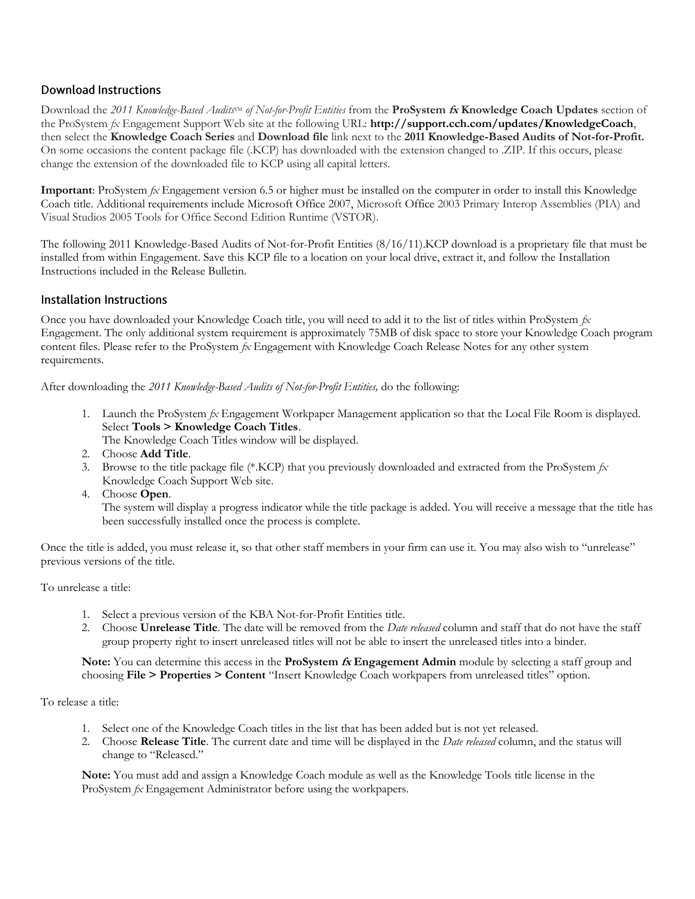#### **Download Instructions**

Download the 2011 *Knowledge-Based Audits*<sup>TM</sup> of Not-for-Profit Entities from the **ProSystem** *fx* Knowledge Coach Updates section of the ProSystem *fx* Engagement Support Web site at the following URL: **http://support.cch.com/updates/KnowledgeCoach**, then select the **Knowledge Coach Series** and **Download file** link next to the **2011 Knowledge-Based Audits of Not-for-Profit.** On some occasions the content package file (.KCP) has downloaded with the extension changed to .ZIP. If this occurs, please change the extension of the downloaded file to KCP using all capital letters.

**Important**: ProSystem *fx* Engagement version 6.5 or higher must be installed on the computer in order to install this Knowledge Coach title. Additional requirements include Microsoft Office 2007, Microsoft Office 2003 Primary Interop Assemblies (PIA) and Visual Studios 2005 Tools for Office Second Edition Runtime (VSTOR).

The following 2011 Knowledge-Based Audits of Not-for-Profit Entities (8/16/11).KCP download is a proprietary file that must be installed from within Engagement. Save this KCP file to a location on your local drive, extract it, and follow the Installation Instructions included in the Release Bulletin.

#### **Installation Instructions**

Once you have downloaded your Knowledge Coach title, you will need to add it to the list of titles within ProSystem *fx* Engagement. The only additional system requirement is approximately 75MB of disk space to store your Knowledge Coach program content files. Please refer to the ProSystem *fx* Engagement with Knowledge Coach Release Notes for any other system requirements.

After downloading the *2011 Knowledge-Based Audits of Not-for-Profit Entities,* do the following:

1. Launch the ProSystem *fx* Engagement Workpaper Management application so that the Local File Room is displayed. Select **Tools > Knowledge Coach Titles**.

The Knowledge Coach Titles window will be displayed.

- 2. Choose **Add Title**.
- 3. Browse to the title package file (\*.KCP) that you previously downloaded and extracted from the ProSystem *fx* Knowledge Coach Support Web site.
- 4. Choose **Open**.

The system will display a progress indicator while the title package is added. You will receive a message that the title has been successfully installed once the process is complete.

Once the title is added, you must release it, so that other staff members in your firm can use it. You may also wish to "unrelease" previous versions of the title.

To unrelease a title:

- 1. Select a previous version of the KBA Not-for-Profit Entities title.
- 2. Choose **Unrelease Title**. The date will be removed from the *Date released* column and staff that do not have the staff group property right to insert unreleased titles will not be able to insert the unreleased titles into a binder.

**Note:** You can determine this access in the **ProSystem fx Engagement Admin** module by selecting a staff group and choosing **File > Properties > Content** "Insert Knowledge Coach workpapers from unreleased titles" option.

To release a title:

- 1. Select one of the Knowledge Coach titles in the list that has been added but is not yet released.
- 2. Choose **Release Title**. The current date and time will be displayed in the *Date released* column, and the status will change to "Released."

**Note:** You must add and assign a Knowledge Coach module as well as the Knowledge Tools title license in the ProSystem *fx* Engagement Administrator before using the workpapers.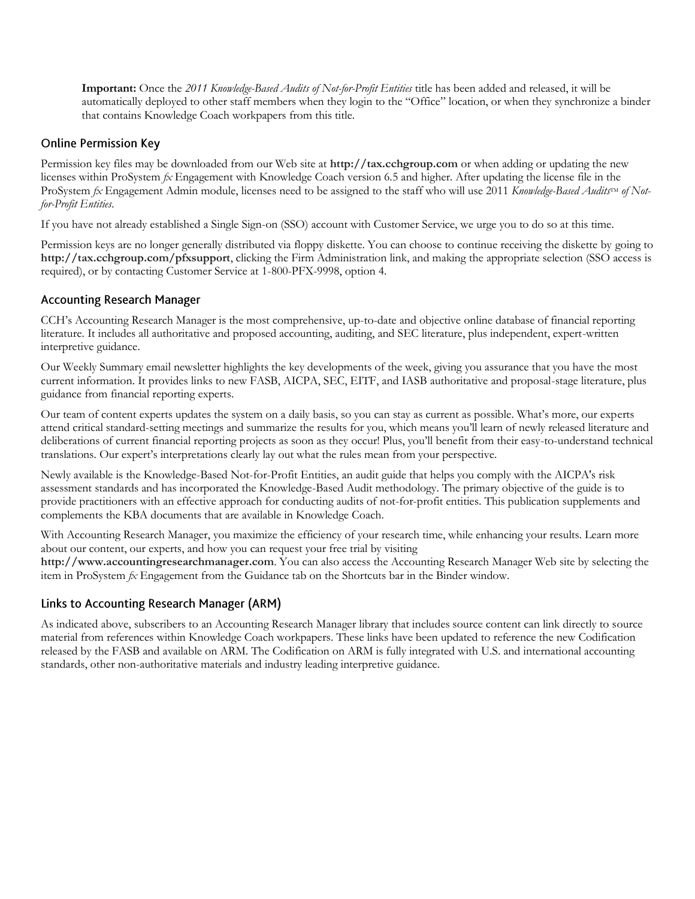**Important:** Once the *2011 Knowledge-Based Audits of Not-for-Profit Entities* title has been added and released, it will be automatically deployed to other staff members when they login to the "Office" location, or when they synchronize a binder that contains Knowledge Coach workpapers from this title.

#### **Online Permission Key**

Permission key files may be downloaded from our Web site at **http://tax.cchgroup.com** or when adding or updating the new licenses within ProSystem *fx* Engagement with Knowledge Coach version 6.5 and higher. After updating the license file in the ProSystem *fx* Engagement Admin module, licenses need to be assigned to the staff who will use 2011 *Knowledge-Based Audits*<sup>TM</sup> of Not*for-Profit Entities*.

If you have not already established a Single Sign-on (SSO) account with Customer Service, we urge you to do so at this time.

Permission keys are no longer generally distributed via floppy diskette. You can choose to continue receiving the diskette by going to **http://tax.cchgroup.com/pfxsupport**, clicking the Firm Administration link, and making the appropriate selection (SSO access is required), or by contacting Customer Service at 1-800-PFX-9998, option 4.

#### **Accounting Research Manager**

CCH's Accounting Research Manager is the most comprehensive, up-to-date and objective online database of financial reporting literature. It includes all authoritative and proposed accounting, auditing, and SEC literature, plus independent, expert-written interpretive guidance.

Our Weekly Summary email newsletter highlights the key developments of the week, giving you assurance that you have the most current information. It provides links to new FASB, AICPA, SEC, EITF, and IASB authoritative and proposal-stage literature, plus guidance from financial reporting experts.

Our team of content experts updates the system on a daily basis, so you can stay as current as possible. What's more, our experts attend critical standard-setting meetings and summarize the results for you, which means you'll learn of newly released literature and deliberations of current financial reporting projects as soon as they occur! Plus, you'll benefit from their easy-to-understand technical translations. Our expert's interpretations clearly lay out what the rules mean from your perspective.

Newly available is the Knowledge-Based Not-for-Profit Entities, an audit guide that helps you comply with the AICPA's risk assessment standards and has incorporated the Knowledge-Based Audit methodology. The primary objective of the guide is to provide practitioners with an effective approach for conducting audits of not-for-profit entities. This publication supplements and complements the KBA documents that are available in Knowledge Coach.

With Accounting Research Manager, you maximize the efficiency of your research time, while enhancing your results. Learn more about our content, our experts, and how you can request your free trial by visiting **http://www.accountingresearchmanager.com**. You can also access the Accounting Research Manager Web site by selecting the item in ProSystem *fx* Engagement from the Guidance tab on the Shortcuts bar in the Binder window.

#### Links to Accounting Research Manager (ARM)

As indicated above, subscribers to an Accounting Research Manager library that includes source content can link directly to source material from references within Knowledge Coach workpapers. These links have been updated to reference the new Codification released by the FASB and available on ARM. The Codification on ARM is fully integrated with U.S. and international accounting standards, other non-authoritative materials and industry leading interpretive guidance.